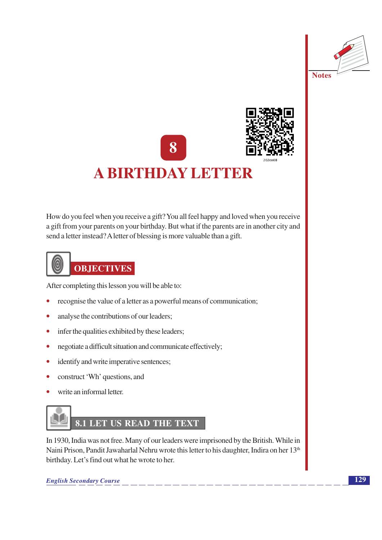



**A BIRTHDAY LETTER** 



## How do you feel when you receive a gift? You all feel happy and loved when you receive a gift from your parents on your birthday. But what if the parents are in another city and send a letter instead? A letter of blessing is more valuable than a gift.



After completing this lesson you will be able to:

- recognise the value of a letter as a powerful means of communication;
- analyse the contributions of our leaders;  $\bullet$
- infer the qualities exhibited by these leaders;  $\bullet$
- negotiate a difficult situation and communicate effectively;  $\bullet$
- identify and write imperative sentences;  $\bullet$
- construct 'Wh' questions, and  $\bullet$
- write an informal letter.



In 1930, India was not free. Many of our leaders were imprisoned by the British. While in Naini Prison, Pandit Jawaharlal Nehru wrote this letter to his daughter, Indira on her 13<sup>th</sup> birthday. Let's find out what he wrote to her.

**English Secondary Course**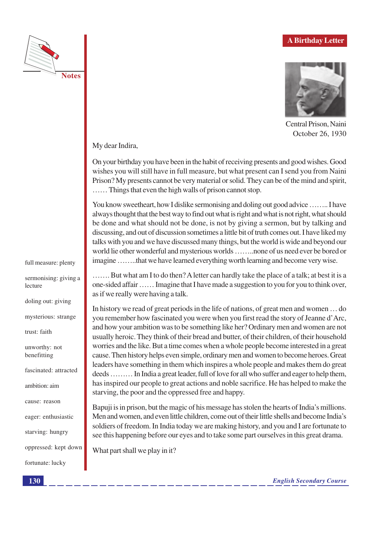



Central Prison, Naini October 26, 1930

My dear Indira,

On your birthday you have been in the habit of receiving presents and good wishes. Good wishes you will still have in full measure, but what present can I send you from Naini Prison? My presents cannot be very material or solid. They can be of the mind and spirit, ...... Things that even the high walls of prison cannot stop.

You know sweetheart, how I dislike sermonising and doling out good advice ........ I have always thought that the best way to find out what is right and what is not right, what should be done and what should not be done, is not by giving a sermon, but by talking and discussing, and out of discussion sometimes a little bit of truth comes out. I have liked my talks with you and we have discussed many things, but the world is wide and beyond our world lie other wonderful and mysterious worlds ........none of us need ever be bored or imagine ........that we have learned everything worth learning and become very wise.

....... But what am I to do then? A letter can hardly take the place of a talk; at best it is a one-sided affair ...... Imagine that I have made a suggestion to you for you to think over, as if we really were having a talk.

In history we read of great periods in the life of nations, of great men and women ... do you remember how fascinated you were when you first read the story of Jeanne d'Arc, and how your ambition was to be something like her? Ordinary men and women are not usually heroic. They think of their bread and butter, of their children, of their household worries and the like. But a time comes when a whole people become interested in a great cause. Then history helps even simple, ordinary men and women to become heroes. Great leaders have something in them which inspires a whole people and makes them do great deeds ......... In India a great leader, full of love for all who suffer and eager to help them, has inspired our people to great actions and noble sacrifice. He has helped to make the starving, the poor and the oppressed free and happy.

Bapuji is in prison, but the magic of his message has stolen the hearts of India's millions. Men and women, and even little children, come out of their little shells and become India's soldiers of freedom. In India today we are making history, and you and I are fortunate to see this happening before our eyes and to take some part ourselves in this great drama.

What part shall we play in it?

**English Secondary Course** 

full measure: plenty

sermonising: giving a lecture

doling out: giving

mysterious: strange

trust faith

unworthy: not benefitting

fascinated: attracted

ambition aim

cause: reason

eager: enthusiastic

starving: hungry

oppressed: kept down

fortunate: lucky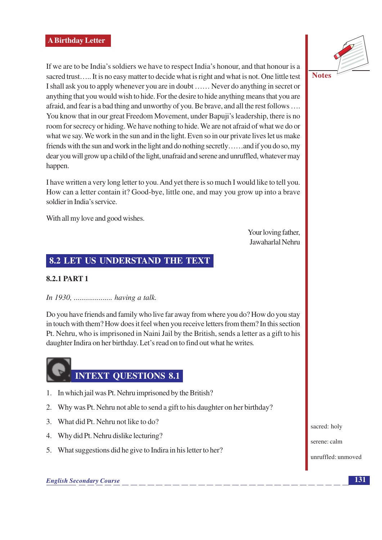If we are to be India's soldiers we have to respect India's honour, and that honour is a sacred trust..... It is no easy matter to decide what is right and what is not. One little test I shall ask you to apply whenever you are in doubt ...... Never do anything in secret or anything that you would wish to hide. For the desire to hide anything means that you are afraid, and fear is a bad thing and unworthy of you. Be brave, and all the rest follows .... You know that in our great Freedom Movement, under Bapuji's leadership, there is no room for secrecy or hiding. We have nothing to hide. We are not afraid of what we do or what we say. We work in the sun and in the light. Even so in our private lives let us make friends with the sun and work in the light and do nothing secretly......and if you do so, my dear you will grow up a child of the light, unafraid and serene and unruffled, whatever may happen.

I have written a very long letter to you. And yet there is so much I would like to tell you. How can a letter contain it? Good-bye, little one, and may you grow up into a brave soldier in India's service.

With all my love and good wishes.

Your loving father, Jawaharlal Nehru

### 8.2 LET US UNDERSTAND THE TEXT

#### **8.2.1 PART 1**

#### 

Do you have friends and family who live far away from where you do? How do you stay in touch with them? How does it feel when you receive letters from them? In this section Pt. Nehru, who is imprisoned in Naini Jail by the British, sends a letter as a gift to his daughter Indira on her birthday. Let's read on to find out what he writes.

## **INTEXT OUESTIONS 8.1**

- 1. In which jail was Pt. Nehru imprisoned by the British?
- 2. Why was Pt. Nehru not able to send a gift to his daughter on her birthday?
- 3. What did Pt. Nehru not like to do?
- 4. Why did Pt. Nehru dislike lecturing?
- 5. What suggestions did he give to Indira in his letter to her?



sacred: holy

serene: calm

unruffled: unmoved

**English Secondary Course** 

131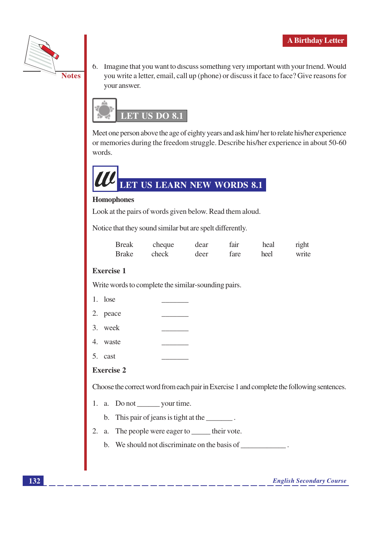

6. Imagine that you want to discuss something very important with your friend. Would you write a letter, email, call up (phone) or discuss it face to face? Give reasons for your answer.



Meet one person above the age of eighty years and ask him/her to relate his/her experience or memories during the freedom struggle. Describe his/her experience in about 50-60 words.



#### **Homophones**

Look at the pairs of words given below. Read them aloud.

Notice that they sound similar but are spelt differently.

| <b>Break</b> | cheque | dear | fair | heal | right |
|--------------|--------|------|------|------|-------|
| Brake        | check  | deer | fare | heel | write |

#### **Exercise 1**

Write words to complete the similar-sounding pairs.

| lose |  |
|------|--|
|------|--|

- 2. peace
- 3. week
- 4. waste
- 5. cast

#### **Exercise 2**

Choose the correct word from each pair in Exercise 1 and complete the following sentences.

- 1. a. Do not \_\_\_\_\_\_\_\_\_ your time.
	- b. This pair of jeans is tight at the  $\qquad \qquad$ .
- 2. a. The people were eager to \_\_\_\_\_\_ their vote.
	- b. We should not discriminate on the basis of \_\_\_\_\_\_\_\_\_\_\_\_\_\_\_\_\_\_\_\_\_\_\_\_\_\_\_\_\_\_\_\_\_\_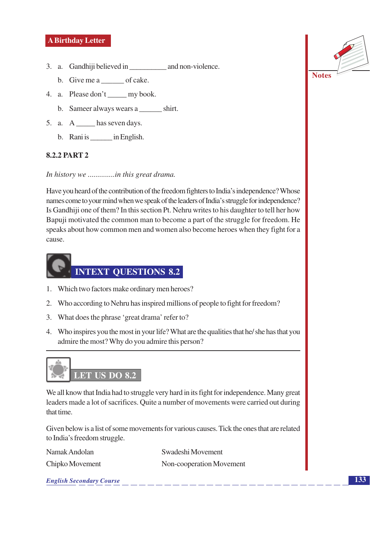- - b. Give me a \_\_\_\_\_\_\_\_ of cake.
- 4. a. Please don't my book.
	- b. Sameer always wears a shirt.
- 5. a. A has seven days.
	- b. Rani is \_\_\_\_\_\_ in English.

#### 8.2.2 PART 2

In history we ..............in this great drama.

Have you heard of the contribution of the freedom fighters to India's independence? Whose names come to your mind when we speak of the leaders of India's struggle for independence? Is Gandhiji one of them? In this section Pt. Nehru writes to his daughter to tell her how Bapuji motivated the common man to become a part of the struggle for freedom. He speaks about how common men and women also become heroes when they fight for a cause.



- 1. Which two factors make ordinary men heroes?
- 2. Who according to Nehru has inspired millions of people to fight for freedom?
- 3. What does the phrase 'great drama' refer to?
- 4. Who inspires you the most in your life? What are the qualities that he/she has that you admire the most? Why do you admire this person?



We all know that India had to struggle very hard in its fight for independence. Many great leaders made a lot of sacrifices. Quite a number of movements were carried out during that time.

Given below is a list of some movements for various causes. Tick the ones that are related to India's freedom struggle.

Namak Andolan

Chipko Movement

Swadeshi Movement Non-cooperation Movement

**English Secondary Course** 



**Notes**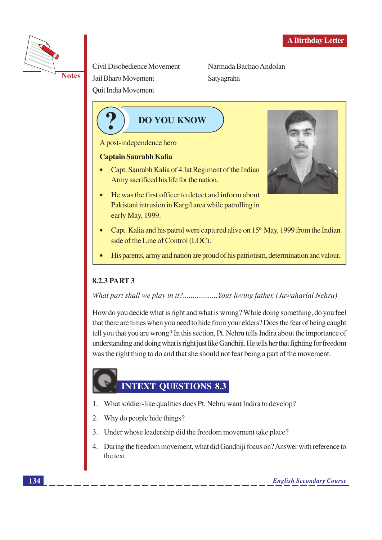

Civil Disobedience Movement **Jail Bharo Movement** Quit India Movement

Narmada Bachao Andolan Satyagraha

**DO YOU KNOW** 

A post-independence hero

#### **Captain Saurabh Kalia**

- Capt. Saurabh Kalia of 4 Jat Regiment of the Indian Army sacrificed his life for the nation.
- He was the first officer to detect and inform about Pakistani intrusion in Kargil area while patrolling in early May, 1999.



- Capt. Kalia and his patrol were captured alive on 15<sup>th</sup> May, 1999 from the Indian side of the Line of Control (LOC).
- His parents, army and nation are proud of his patriotism, determination and valour.

#### **8.2.3 PART 3**

What part shall we play in it?.................Your loving father, (Jawaharlal Nehru)

How do you decide what is right and what is wrong? While doing something, do you feel that there are times when you need to hide from your elders? Does the fear of being caught tell you that you are wrong? In this section, Pt. Nehru tells Indira about the importance of understanding and doing what is right just like Gandhiji. He tells her that fighting for freedom was the right thing to do and that she should not fear being a part of the movement.

## INTEXT QUESTIONS 8.3

- 1. What soldier-like qualities does Pt. Nehru want Indira to develop?
- 2. Why do people hide things?
- 3. Under whose leadership did the freedom movement take place?
- 4. During the freedom movement, what did Gandhiji focus on? Answer with reference to the text.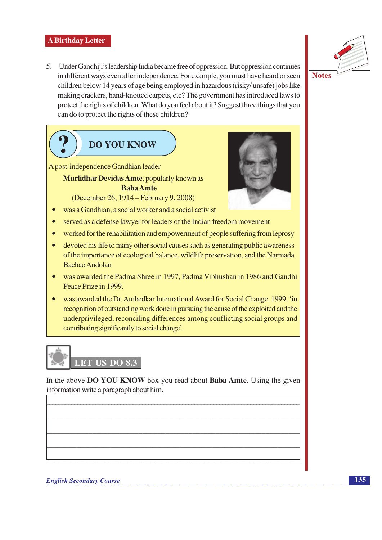5. Under Gandhiji's leadership India became free of oppression. But oppression continues in different ways even after independence. For example, you must have heard or seen children below 14 years of age being employed in hazardous (risky/unsafe) jobs like making crackers, hand-knotted carpets, etc? The government has introduced laws to protect the rights of children. What do you feel about it? Suggest three things that you can do to protect the rights of these children?





In the above DO YOU KNOW box you read about Baba Amte. Using the given information write a paragraph about him.



**Notes**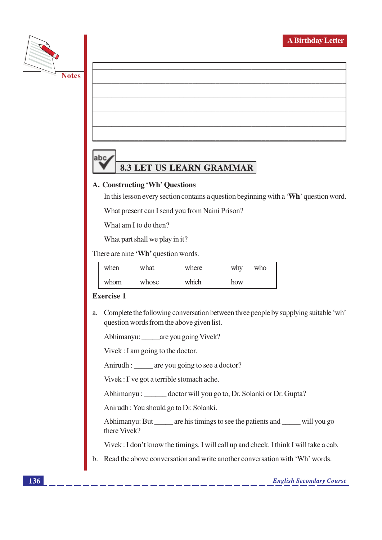



# **8.3 LET US LEARN GRAMMAR**

#### A. Constructing 'Wh' Questions

In this lesson every section contains a question beginning with a 'Wh' question word.

What present can I send you from Naini Prison?

What am I to do then?

What part shall we play in it?

There are nine 'Wh' question words.

| when | what  | where | why | who |
|------|-------|-------|-----|-----|
| whom | whose | which | how |     |

#### **Exercise 1**

a. Complete the following conversation between three people by supplying suitable 'wh' question words from the above given list.

Abhimanyu: are you going Vivek?

Vivek : I am going to the doctor.

Anirudh: are you going to see a doctor?

Vivek : I've got a terrible stomach ache.

Abhimanyu : \_\_\_\_\_\_ doctor will you go to, Dr. Solanki or Dr. Gupta?

Anirudh: You should go to Dr. Solanki.

Abhimanyu: But \_\_\_\_\_\_ are his timings to see the patients and \_\_\_\_\_\_ will you go there Vivek?

Vivek: I don't know the timings. I will call up and check. I think I will take a cab.

b. Read the above conversation and write another conversation with 'Wh' words.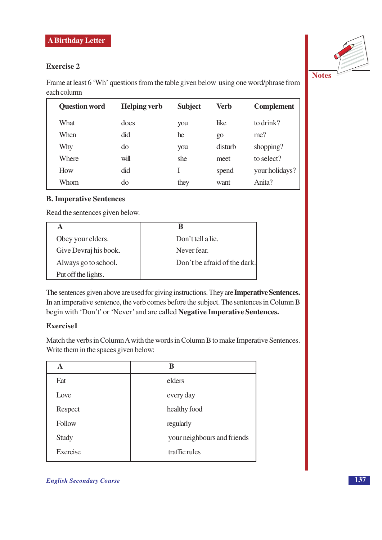#### **Exercise 2**

Frame at least 6 'Wh' questions from the table given below using one word/phrase from each column

| <b>Question word</b> | <b>Helping verb</b> | <b>Subject</b> | Verb    | <b>Complement</b> |
|----------------------|---------------------|----------------|---------|-------------------|
| What                 | does                | you            | like    | to drink?         |
| When                 | did                 | he             | 90      | me?               |
| Why                  | do                  | you            | disturb | shopping?         |
| Where                | will                | she            | meet    | to select?        |
| How                  | did                 |                | spend   | your holidays?    |
| Whom                 | do                  | they           | want    | Anita?            |

#### **B. Imperative Sentences**

Read the sentences given below.

| Obey your elders.     | Don't tell a lie.            |
|-----------------------|------------------------------|
| Give Devraj his book. | Never fear.                  |
| Always go to school.  | Don't be afraid of the dark. |
| Put off the lights.   |                              |

The sentences given above are used for giving instructions. They are Imperative Sentences. In an imperative sentence, the verb comes before the subject. The sentences in Column B begin with 'Don't' or 'Never' and are called Negative Imperative Sentences.

#### **Exercise1**

Match the verbs in Column A with the words in Column B to make Imperative Sentences. Write them in the spaces given below:

| A        | В                           |
|----------|-----------------------------|
| Eat      | elders                      |
| Love     | every day                   |
| Respect  | healthy food                |
| Follow   | regularly                   |
| Study    | your neighbours and friends |
| Exercise | traffic rules               |

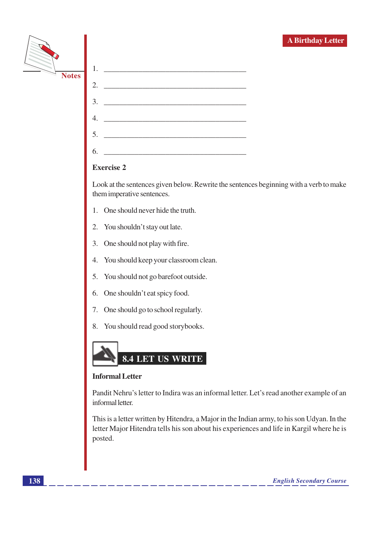|              | <b>A Birthday Letter</b>                                                                                                                                                                          |
|--------------|---------------------------------------------------------------------------------------------------------------------------------------------------------------------------------------------------|
|              | 1.                                                                                                                                                                                                |
| <b>Notes</b> | 2.                                                                                                                                                                                                |
|              | 3.                                                                                                                                                                                                |
|              | 4.<br><u> 1989 - Johann Stein, marwolaethau a bhann an t-Amhain Aonaich an t-Amhain Aonaich an t-Amhain Aonaich an t-A</u>                                                                        |
|              | <u> 1988 - Johann Barn, mars ar breithinn ar breithinn ar breithinn ar breithinn ar breithinn ar breithinn ar br</u><br>5.                                                                        |
|              | <u> 1989 - Jan James James Barbara, martxa a shekara 1980 - 1981 - 1982 - 1983 - 1984 - 1986 - 1987 - 1988 - 198</u><br>6.                                                                        |
|              | <b>Exercise 2</b>                                                                                                                                                                                 |
|              | Look at the sentences given below. Rewrite the sentences beginning with a verb to make<br>them imperative sentences.                                                                              |
|              | One should never hide the truth.                                                                                                                                                                  |
|              | 2. You shouldn't stay out late.                                                                                                                                                                   |
|              | One should not play with fire.<br>3.                                                                                                                                                              |
|              | You should keep your classroom clean.<br>4.                                                                                                                                                       |
|              | You should not go barefoot outside.<br>5.                                                                                                                                                         |
|              | One shouldn't eat spicy food.<br>6.                                                                                                                                                               |
|              | 7. One should go to school regularly.                                                                                                                                                             |
|              | You should read good storybooks.<br>8.                                                                                                                                                            |
|              | 8.4 LET US WRITE                                                                                                                                                                                  |
|              | <b>Informal Letter</b>                                                                                                                                                                            |
|              | Pandit Nehru's letter to Indira was an informal letter. Let's read another example of an<br>informal letter.                                                                                      |
|              | This is a letter written by Hitendra, a Major in the Indian army, to his son Udyan. In the<br>letter Major Hitendra tells his son about his experiences and life in Kargil where he is<br>posted. |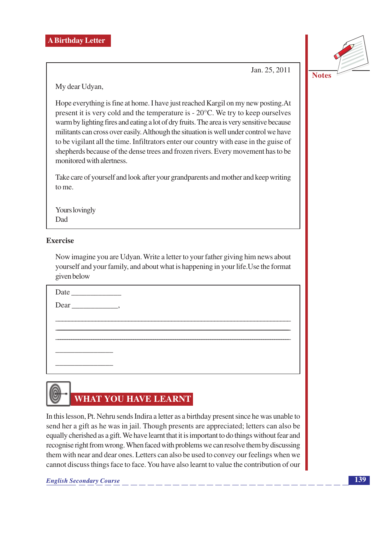Jan. 25, 2011



Hope everything is fine at home. I have just reached Kargil on my new posting. At present it is very cold and the temperature is  $-20^{\circ}$ C. We try to keep ourselves warm by lighting fires and eating a lot of dry fruits. The area is very sensitive because militants can cross over easily. Although the situation is well under control we have to be vigilant all the time. Infiltrators enter our country with ease in the guise of shepherds because of the dense trees and frozen rivers. Every movement has to be monitored with alertness.

Take care of yourself and look after your grandparents and mother and keep writing to me.

Yours lovingly Dad

#### **Exercise**

Now imagine you are Udyan. Write a letter to your father giving him news about yourself and your family, and about what is happening in your life. Use the format given below

# **WHAT YOU HAVE LEARNT**

In this lesson, Pt. Nehru sends Indira a letter as a birthday present since he was unable to send her a gift as he was in jail. Though presents are appreciated; letters can also be equally cherished as a gift. We have learnt that it is important to do things without fear and recognise right from wrong. When faced with problems we can resolve them by discussing them with near and dear ones. Letters can also be used to convey our feelings when we cannot discuss things face to face. You have also learnt to value the contribution of our

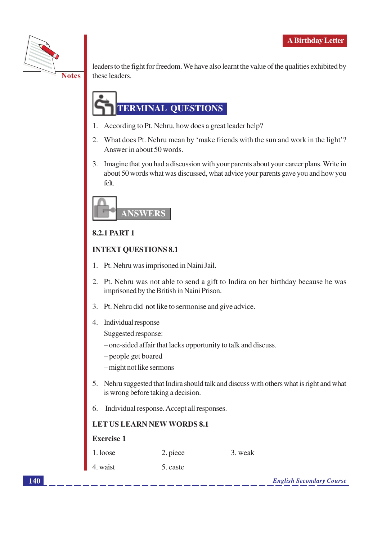

leaders to the fight for freedom. We have also learnt the value of the qualities exhibited by these leaders.

## **TERMINAL OUESTIONS**

- 1. According to Pt. Nehru, how does a great leader help?
- 2. What does Pt. Nehru mean by 'make friends with the sun and work in the light'? Answer in about 50 words.
- 3. Imagine that you had a discussion with your parents about your career plans. Write in about 50 words what was discussed, what advice your parents gave you and how you felt.



#### **8.2.1 PART 1**

#### **INTEXT OUESTIONS 8.1**

- 1. Pt. Nehru was imprisoned in Naini Jail.
- 2. Pt. Nehru was not able to send a gift to Indira on her birthday because he was imprisoned by the British in Naini Prison.
- 3. Pt. Nehru did not like to sermonise and give advice.
- 4. Individual response

Suggested response:

- one-sided affair that lacks opportunity to talk and discuss.
- people get boared
- -might not like sermons
- 5. Nehru suggested that Indira should talk and discuss with others what is right and what is wrong before taking a decision.
- 6. Individual response. Accept all responses.

#### **LET US LEARN NEW WORDS 8.1**

#### **Exercise 1**

| 1. loose | 2. piece | 3. weak |
|----------|----------|---------|
| 4. waist | 5. caste |         |

**English Secondary Course**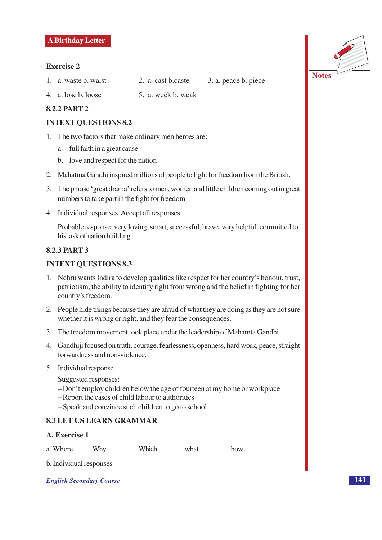#### **Exercise 2**

- 1. a. waste b. waist
- 4. a. lose b. loose
- 5. a. week b. weak

3. a. peace b. piece

how

2. a. cast b.caste

#### **8.2.2 PART 2**

#### **INTEXT QUESTIONS 8.2**

- 1. The two factors that make ordinary men heroes are:
	- a. full faith in a great cause
	- b. love and respect for the nation
- 2. Mahatma Gandhi inspired millions of people to fight for freedom from the British.
- 3. The phrase 'great drama' refers to men, women and little children coming out in great numbers to take part in the fight for freedom.
- 4. Individual responses. Accept all responses.

Probable response: very loving, smart, successful, brave, very helpful, committed to his task of nation building.

#### **8.2.3 PART 3**

#### **INTEXT QUESTIONS 8.3**

- 1. Nehru wants Indira to develop qualities like respect for her country's honour, trust, patriotism, the ability to identify right from wrong and the belief in fighting for her country's freedom.
- 2. People hide things because they are afraid of what they are doing as they are not sure whether it is wrong or right, and they fear the consequences.
- 3. The freedom movement took place under the leadership of Mahamta Gandhi
- 4. Gandhiji focused on truth, courage, fearlessness, openness, hard work, peace, straight forwardness and non-violence.
- 5. Individual response.

Suggested responses:

- Don't employ children below the age of fourteen at my home or workplace
- Report the cases of child labour to authorities
- Speak and convince such children to go to school

#### **8.3 LET US LEARN GRAMMAR**

#### A. Exercise 1

|  | a. Where | Why | Which | what |
|--|----------|-----|-------|------|
|--|----------|-----|-------|------|

b. Individual responses

| <b>English Secondary Course</b> |  |
|---------------------------------|--|
|                                 |  |

**Notes**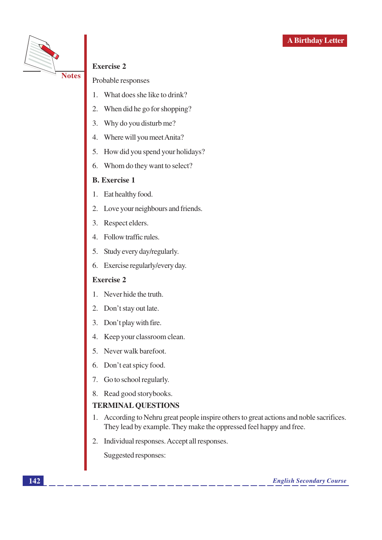

#### **Exercise 2**

Probable responses

- What does she like to drink? 1.
- When did he go for shopping? 2.
- $3.$ Why do you disturb me?
- $\overline{4}$ . Where will you meet Anita?
- 5. How did you spend your holidays?
- 6. Whom do they want to select?

#### **B.** Exercise 1

- 1. Eat healthy food.
- 2. Love your neighbours and friends.
- 3. Respect elders.
- 4. Follow traffic rules.
- 5. Study every day/regularly.
- 6. Exercise regularly/every day.

#### **Exercise 2**

- 1. Never hide the truth.
- 2. Don't stay out late.
- 3. Don't play with fire.
- Keep your classroom clean. 4.
- 5. Never walk barefoot.
- 6. Don't eat spicy food.
- 7. Go to school regularly.
- 8. Read good storybooks.

#### **TERMINAL QUESTIONS**

- 1. According to Nehru great people inspire others to great actions and noble sacrifices. They lead by example. They make the oppressed feel happy and free.
- 2. Individual responses. Accept all responses.

Suggested responses: